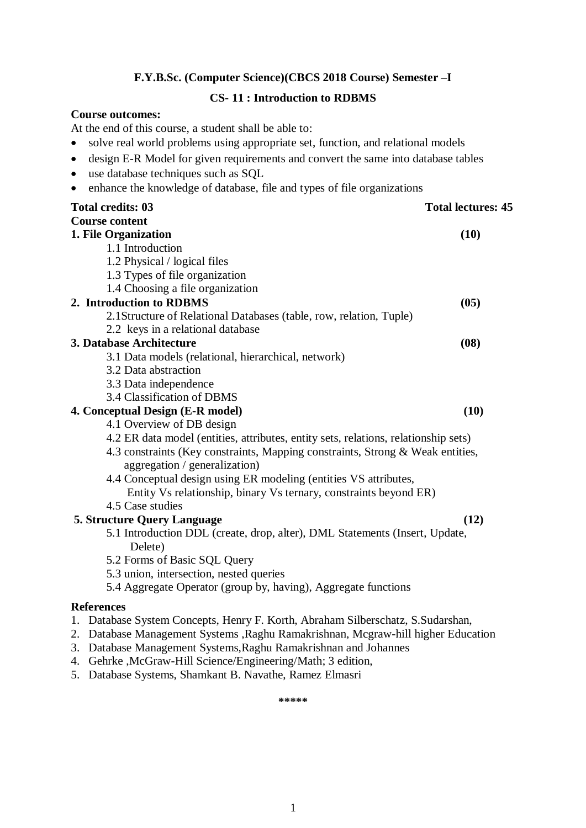### **F.Y.B.Sc. (Computer Science)(CBCS 2018 Course) Semester –I**

### **CS- 11 : Introduction to RDBMS**

### **Course outcomes:**

At the end of this course, a student shall be able to:

- solve real world problems using appropriate set, function, and relational models
- design E-R Model for given requirements and convert the same into database tables
- use database techniques such as SQL
- enhance the knowledge of database, file and types of file organizations

| <b>Total credits: 03</b>                                                            | <b>Total lectures: 45</b> |
|-------------------------------------------------------------------------------------|---------------------------|
| <b>Course content</b>                                                               |                           |
| 1. File Organization                                                                | (10)                      |
| 1.1 Introduction                                                                    |                           |
| 1.2 Physical / logical files                                                        |                           |
| 1.3 Types of file organization                                                      |                           |
| 1.4 Choosing a file organization                                                    |                           |
| 2. Introduction to RDBMS                                                            | (05)                      |
| 2.1Structure of Relational Databases (table, row, relation, Tuple)                  |                           |
| 2.2 keys in a relational database                                                   |                           |
| 3. Database Architecture                                                            | (08)                      |
| 3.1 Data models (relational, hierarchical, network)                                 |                           |
| 3.2 Data abstraction                                                                |                           |
| 3.3 Data independence                                                               |                           |
| 3.4 Classification of DBMS                                                          |                           |
| 4. Conceptual Design (E-R model)                                                    | (10)                      |
| 4.1 Overview of DB design                                                           |                           |
| 4.2 ER data model (entities, attributes, entity sets, relations, relationship sets) |                           |
| 4.3 constraints (Key constraints, Mapping constraints, Strong & Weak entities,      |                           |
| aggregation / generalization)                                                       |                           |
| 4.4 Conceptual design using ER modeling (entities VS attributes,                    |                           |
| Entity Vs relationship, binary Vs ternary, constraints beyond ER)                   |                           |
| 4.5 Case studies                                                                    |                           |
| <b>5. Structure Query Language</b>                                                  | (12)                      |
| 5.1 Introduction DDL (create, drop, alter), DML Statements (Insert, Update,         |                           |
| Delete)                                                                             |                           |
| 5.2 Forms of Basic SQL Query                                                        |                           |
| 5.3 union, intersection, nested queries                                             |                           |
| 5.4 Aggregate Operator (group by, having), Aggregate functions                      |                           |
| <b>References</b>                                                                   |                           |
| 1. Database System Concepts, Henry F. Korth, Abraham Silberschatz, S.Sudarshan,     |                           |

- 2. Database Management Systems ,Raghu Ramakrishnan, Mcgraw-hill higher Education
- 3. Database Management Systems,Raghu Ramakrishnan and Johannes
- 4. Gehrke ,McGraw-Hill Science/Engineering/Math; 3 edition,
- 5. Database Systems, Shamkant B. Navathe, Ramez Elmasri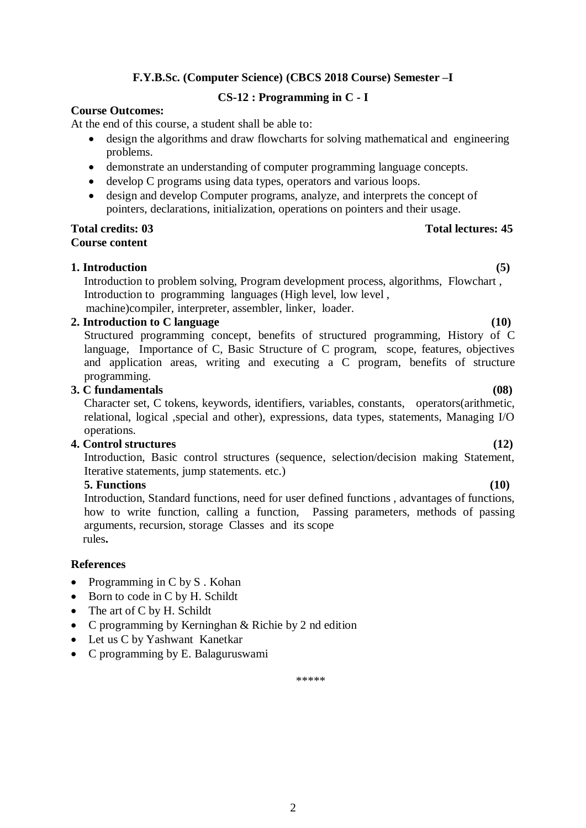### **F.Y.B.Sc. (Computer Science) (CBCS 2018 Course) Semester –I**

### **CS-12 : Programming in C - I**

### **Course Outcomes:**

At the end of this course, a student shall be able to:

- design the algorithms and draw flowcharts for solving mathematical and engineering problems.
- demonstrate an understanding of computer programming language concepts.
- develop C programs using data types, operators and various loops.
- design and develop Computer programs, analyze, and interprets the concept of pointers, declarations, initialization, operations on pointers and their usage.

## **Course content**

### **1. Introduction (5)**

Introduction to problem solving, Program development process, algorithms, Flowchart , Introduction to programming languages (High level, low level , machine)compiler, interpreter, assembler, linker, loader.

### **2. Introduction to C language (10)**

Structured programming concept, benefits of structured programming, History of C language, Importance of C, Basic Structure of C program, scope, features, objectives and application areas, writing and executing a C program, benefits of structure programming.

### **3. C fundamentals (08)**

Character set, C tokens, keywords, identifiers, variables, constants, operators(arithmetic, relational, logical ,special and other), expressions, data types, statements, Managing I/O operations.

### **4. Control structures (12)**

Introduction, Basic control structures (sequence, selection/decision making Statement, Iterative statements, jump statements. etc.)

### **5. Functions (10)**

Introduction, Standard functions, need for user defined functions , advantages of functions, how to write function, calling a function, Passing parameters, methods of passing arguments, recursion, storage Classes and its scope rules**.** 

### **References**

- Programming in  $C$  by  $S$ . Kohan
- Born to code in C by H. Schildt
- The art of C by H. Schildt
- C programming by Kerninghan & Richie by 2 nd edition
- Let us C by Yashwant Kanetkar
- C programming by E. Balaguruswami

\*\*\*\*\*

### **Total credits: 03 Total lectures: 45**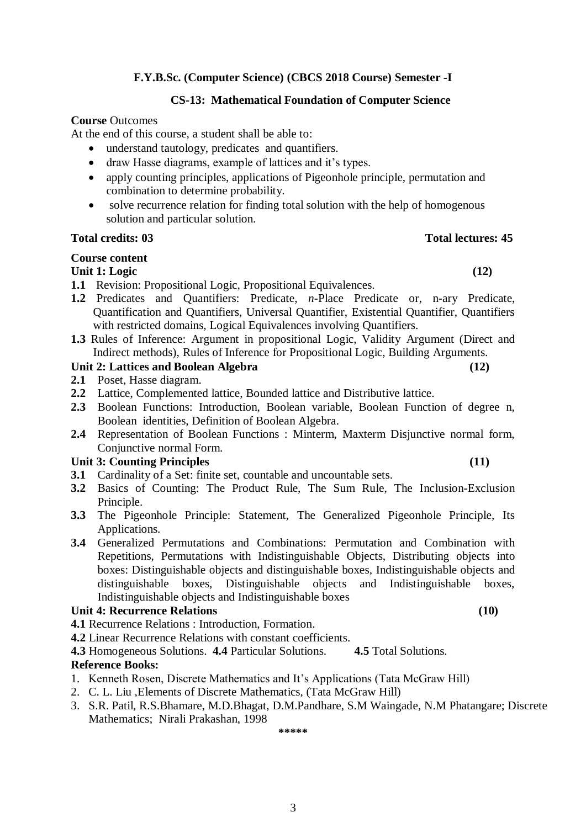### **F.Y.B.Sc. (Computer Science) (CBCS 2018 Course) Semester -I**

### **CS-13: Mathematical Foundation of Computer Science**

### **Course** Outcomes

At the end of this course, a student shall be able to:

- understand tautology, predicates and quantifiers.
- draw Hasse diagrams, example of lattices and it's types.
- apply counting principles, applications of Pigeonhole principle, permutation and combination to determine probability.
- solve recurrence relation for finding total solution with the help of homogenous solution and particular solution.

### **Total credits: 03 Total lectures: 45**

### **Course content**

### **Unit 1: Logic (12)**

- **1.1** Revision: Propositional Logic, Propositional Equivalences.
- **1.2** Predicates and Quantifiers: Predicate, *n*-Place Predicate or, n-ary Predicate, Quantification and Quantifiers, Universal Quantifier, Existential Quantifier, Quantifiers with restricted domains, Logical Equivalences involving Quantifiers.
- **1.3** Rules of Inference: Argument in propositional Logic, Validity Argument (Direct and Indirect methods), Rules of Inference for Propositional Logic, Building Arguments.

### **Unit 2: Lattices and Boolean Algebra (12)**

- **2.1** Poset, Hasse diagram.
- **2.2** Lattice, Complemented lattice, Bounded lattice and Distributive lattice.
- **2.3** Boolean Functions: Introduction, Boolean variable, Boolean Function of degree n, Boolean identities, Definition of Boolean Algebra.
- **2.4** Representation of Boolean Functions : Minterm, Maxterm Disjunctive normal form, Conjunctive normal Form.

### **Unit 3: Counting Principles (11)**

- **3.1** Cardinality of a Set: finite set, countable and uncountable sets.
- **3.2** Basics of Counting: The Product Rule, The Sum Rule, The Inclusion-Exclusion Principle.
- **3.3** The Pigeonhole Principle: Statement, The Generalized Pigeonhole Principle, Its Applications.
- **3.4** Generalized Permutations and Combinations: Permutation and Combination with Repetitions, Permutations with Indistinguishable Objects, Distributing objects into boxes: Distinguishable objects and distinguishable boxes, Indistinguishable objects and distinguishable boxes, Distinguishable objects and Indistinguishable boxes, Indistinguishable objects and Indistinguishable boxes

### **Unit 4: Recurrence Relations (10)**

- **4.1** Recurrence Relations : Introduction, Formation.
- **4.2** Linear Recurrence Relations with constant coefficients.
- **4.3** Homogeneous Solutions. **4.4** Particular Solutions. **4.5** Total Solutions.

### **Reference Books:**

- 1. Kenneth Rosen, Discrete Mathematics and It's Applications (Tata McGraw Hill)
- 2. C. L. Liu ,Elements of Discrete Mathematics, (Tata McGraw Hill)
- 3. S.R. Patil, R.S.Bhamare, M.D.Bhagat, D.M.Pandhare, S.M Waingade, N.M Phatangare; Discrete Mathematics; Nirali Prakashan, 1998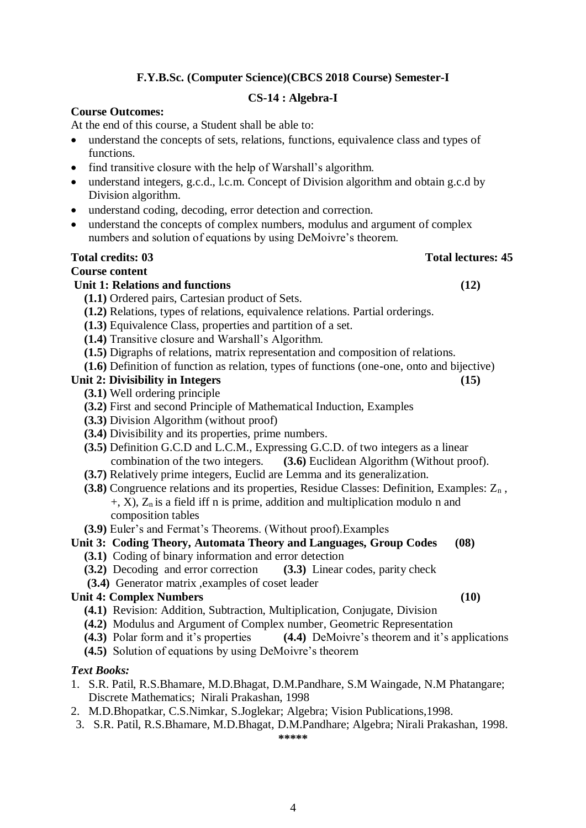4

### **F.Y.B.Sc. (Computer Science)(CBCS 2018 Course) Semester-I**

### **CS-14 : Algebra-I**

### **Course Outcomes:**

At the end of this course, a Student shall be able to:

- understand the concepts of sets, relations, functions, equivalence class and types of functions.
- find transitive closure with the help of Warshall's algorithm.
- understand integers, g.c.d., l.c.m. Concept of Division algorithm and obtain g.c.d by Division algorithm.
- understand coding, decoding, error detection and correction.
- understand the concepts of complex numbers, modulus and argument of complex numbers and solution of equations by using DeMoivre's theorem.

### **Total credits: 03 Total lectures: 45**

### **Course content**

### Unit 1: Relations and functions (12)

- **(1.1)** Ordered pairs, Cartesian product of Sets.
- **(1.2)** Relations, types of relations, equivalence relations. Partial orderings.
- **(1.3)** Equivalence Class, properties and partition of a set.
- **(1.4)** Transitive closure and Warshall's Algorithm.
- **(1.5)** Digraphs of relations, matrix representation and composition of relations.
- **(1.6)** Definition of function as relation, types of functions (one-one, onto and bijective)

### Unit 2: Divisibility in Integers (15)

- **(3.1)** Well ordering principle
- **(3.2)** First and second Principle of Mathematical Induction, Examples
- **(3.3)** Division Algorithm (without proof)
- **(3.4)** Divisibility and its properties, prime numbers.
- **(3.5)** Definition G.C.D and L.C.M., Expressing G.C.D. of two integers as a linear combination of the two integers. **(3.6)** Euclidean Algorithm (Without proof).
- **(3.7)** Relatively prime integers, Euclid are Lemma and its generalization.
- **(3.8)** Congruence relations and its properties, Residue Classes: Definition, Examples: Z<sub>n</sub>,  $+$ , X),  $Z_n$  is a field iff n is prime, addition and multiplication modulo n and composition tables
- **(3.9)** Euler's and Fermat's Theorems. (Without proof).Examples
- **Unit 3: Coding Theory, Automata Theory and Languages, Group Codes (08)**
	- **(3.1)** Coding of binary information and error detection
	- **(3.2)** Decoding and error correction **(3.3)** Linear codes, parity check
	- **(3.4)** Generator matrix ,examples of coset leader

### Unit 4: Complex Numbers (10)

- **(4.1)** Revision: Addition, Subtraction, Multiplication, Conjugate, Division
- **(4.2)** Modulus and Argument of Complex number, Geometric Representation
- **(4.3)** Polar form and it's properties **(4.4)** DeMoivre's theorem and it's applications
- **(4.5)** Solution of equations by using DeMoivre's theorem

### *Text Books:*

- 1. S.R. Patil, R.S.Bhamare, M.D.Bhagat, D.M.Pandhare, S.M Waingade, N.M Phatangare; Discrete Mathematics; Nirali Prakashan, 1998
- 2. M.D.Bhopatkar, C.S.Nimkar, S.Joglekar; Algebra; Vision Publications,1998.
- 3. S.R. Patil, R.S.Bhamare, M.D.Bhagat, D.M.Pandhare; Algebra; Nirali Prakashan, 1998.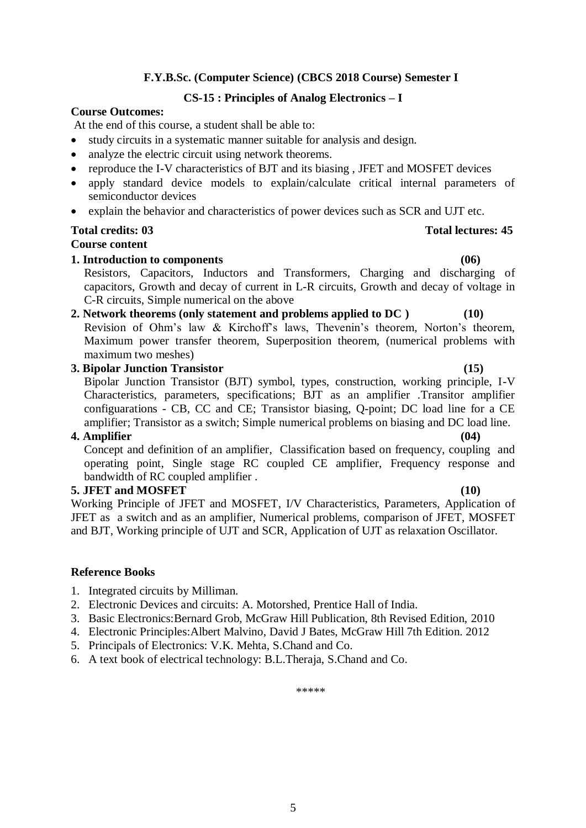# 5

### **F.Y.B.Sc. (Computer Science) (CBCS 2018 Course) Semester I**

### **CS-15 : Principles of Analog Electronics – I**

### **Course Outcomes:**

At the end of this course, a student shall be able to:

- study circuits in a systematic manner suitable for analysis and design.
- analyze the electric circuit using network theorems.
- reproduce the I-V characteristics of BJT and its biasing , JFET and MOSFET devices
- apply standard device models to explain/calculate critical internal parameters of semiconductor devices
- explain the behavior and characteristics of power devices such as SCR and UJT etc.

### **Total credits: 03 Total lectures: 45**

### **Course content**

### **1. Introduction to components (06)**

Resistors, Capacitors, Inductors and Transformers, Charging and discharging of capacitors, Growth and decay of current in L-R circuits, Growth and decay of voltage in C-R circuits, Simple numerical on the above

### **2. Network theorems (only statement and problems applied to DC ) (10)**

Revision of Ohm's law & Kirchoff's laws, Thevenin's theorem, Norton's theorem, Maximum power transfer theorem, Superposition theorem, (numerical problems with maximum two meshes)

### **3. Bipolar Junction Transistor (15)**

Bipolar Junction Transistor (BJT) symbol, types, construction, working principle, I-V Characteristics, parameters, specifications; BJT as an amplifier .Transitor amplifier configuarations - CB, CC and CE; Transistor biasing, Q-point; DC load line for a CE amplifier; Transistor as a switch; Simple numerical problems on biasing and DC load line.

### **4. Amplifier (04)**

Concept and definition of an amplifier, Classification based on frequency, coupling and operating point, Single stage RC coupled CE amplifier, Frequency response and bandwidth of RC coupled amplifier .

### **5. JFET and MOSFET (10)**

Working Principle of JFET and MOSFET, I/V Characteristics, Parameters, Application of JFET as a switch and as an amplifier, Numerical problems, comparison of JFET, MOSFET and BJT, Working principle of UJT and SCR, Application of UJT as relaxation Oscillator.

### **Reference Books**

- 1. Integrated circuits by Milliman.
- 2. Electronic Devices and circuits: A. Motorshed, Prentice Hall of India.
- 3. Basic Electronics:Bernard Grob, McGraw Hill Publication, 8th Revised Edition, 2010
- 4. Electronic Principles:Albert Malvino, David J Bates, McGraw Hill 7th Edition. 2012
- 5. Principals of Electronics: V.K. Mehta, S.Chand and Co.
- 6. A text book of electrical technology: B.L.Theraja, S.Chand and Co.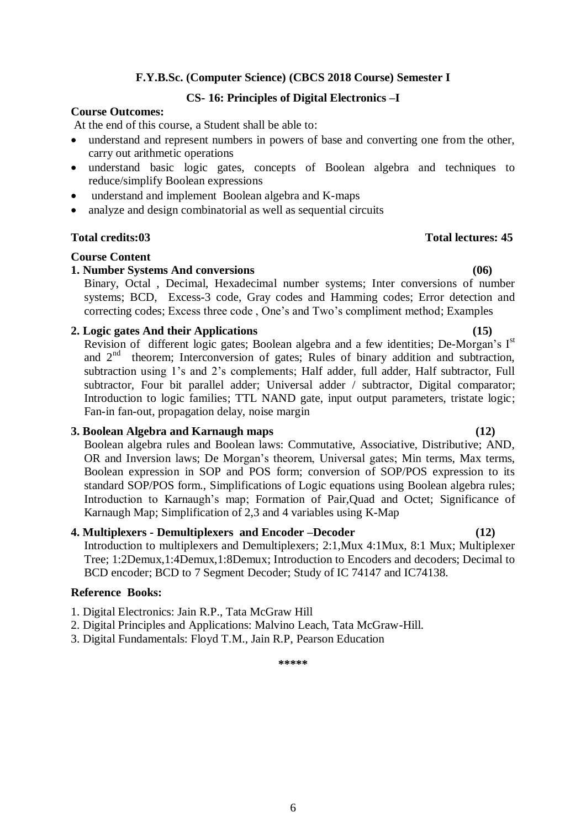### **F.Y.B.Sc. (Computer Science) (CBCS 2018 Course) Semester I**

### **CS- 16: Principles of Digital Electronics –I**

### **Course Outcomes:**

At the end of this course, a Student shall be able to:

- understand and represent numbers in powers of base and converting one from the other, carry out arithmetic operations
- understand basic logic gates, concepts of Boolean algebra and techniques to reduce/simplify Boolean expressions
- understand and implement Boolean algebra and K-maps
- analyze and design combinatorial as well as sequential circuits

### **Total credits:03 Total lectures: 45**

### **Course Content**

### **1. Number Systems And conversions (06)**

Binary, Octal , Decimal, Hexadecimal number systems; Inter conversions of number systems; BCD, Excess-3 code, Gray codes and Hamming codes; Error detection and correcting codes; Excess three code , One's and Two's compliment method; Examples

### **2. Logic gates And their Applications (15)**

Revision of different logic gates; Boolean algebra and a few identities; De-Morgan's  $I<sup>st</sup>$ and 2<sup>nd</sup> theorem; Interconversion of gates; Rules of binary addition and subtraction, subtraction using 1's and 2's complements; Half adder, full adder, Half subtractor, Full subtractor, Four bit parallel adder; Universal adder / subtractor, Digital comparator; Introduction to logic families; TTL NAND gate, input output parameters, tristate logic; Fan-in fan-out, propagation delay, noise margin

### **3. Boolean Algebra and Karnaugh maps (12)**

Boolean algebra rules and Boolean laws: Commutative, Associative, Distributive; AND, OR and Inversion laws; De Morgan's theorem, Universal gates; Min terms, Max terms, Boolean expression in SOP and POS form; conversion of SOP/POS expression to its standard SOP/POS form., Simplifications of Logic equations using Boolean algebra rules; Introduction to Karnaugh's map; Formation of Pair,Quad and Octet; Significance of Karnaugh Map; Simplification of 2,3 and 4 variables using K-Map

### **4. Multiplexers - Demultiplexers and Encoder –Decoder (12)**

Introduction to multiplexers and Demultiplexers; 2:1,Mux 4:1Mux, 8:1 Mux; Multiplexer Tree; 1:2Demux,1:4Demux,1:8Demux; Introduction to Encoders and decoders; Decimal to BCD encoder; BCD to 7 Segment Decoder; Study of IC 74147 and IC74138.

### **Reference Books:**

- 1. Digital Electronics: Jain R.P., Tata McGraw Hill
- 2. Digital Principles and Applications: Malvino Leach, Tata McGraw-Hill.
- 3. Digital Fundamentals: Floyd T.M., Jain R.P, Pearson Education

**\*\*\*\*\***

### 6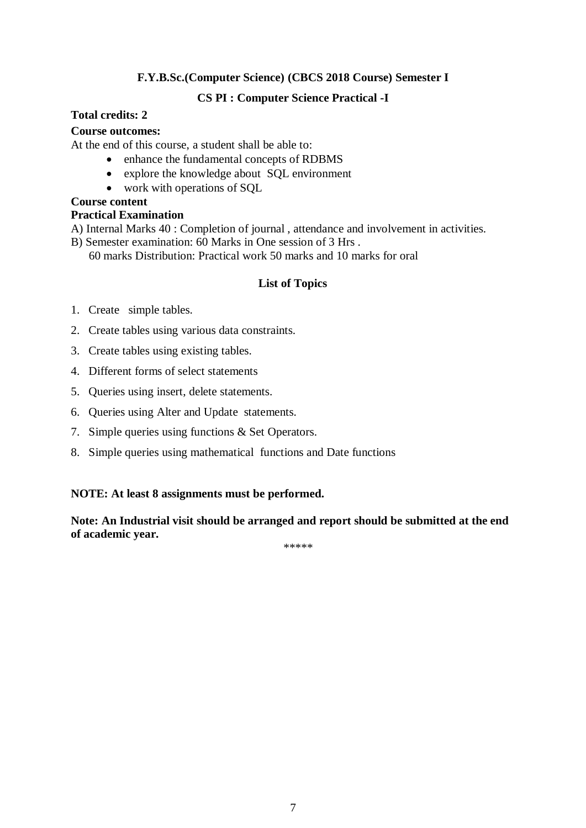### **F.Y.B.Sc.(Computer Science) (CBCS 2018 Course) Semester I**

### **CS PI : Computer Science Practical -I**

### **Total credits: 2**

### **Course outcomes:**

At the end of this course, a student shall be able to:

- enhance the fundamental concepts of RDBMS
- explore the knowledge about SQL environment
- work with operations of SQL

### **Course content**

### **Practical Examination**

- A) Internal Marks 40 : Completion of journal , attendance and involvement in activities.
- B) Semester examination: 60 Marks in One session of 3 Hrs .

60 marks Distribution: Practical work 50 marks and 10 marks for oral

### **List of Topics**

- 1. Create simple tables.
- 2. Create tables using various data constraints.
- 3. Create tables using existing tables.
- 4. Different forms of select statements
- 5. Queries using insert, delete statements.
- 6. Queries using Alter and Update statements.
- 7. Simple queries using functions & Set Operators.
- 8. Simple queries using mathematical functions and Date functions

### **NOTE: At least 8 assignments must be performed.**

**Note: An Industrial visit should be arranged and report should be submitted at the end of academic year.**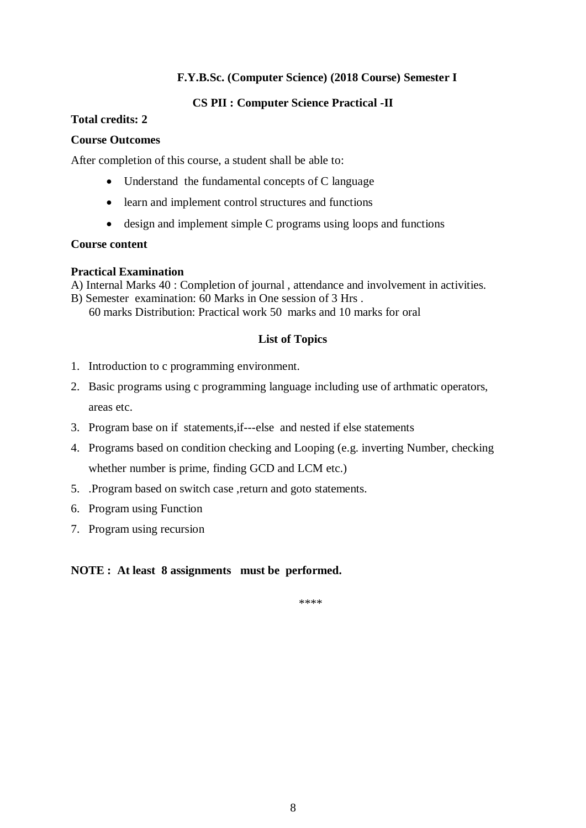### **F.Y.B.Sc. (Computer Science) (2018 Course) Semester I**

### **CS PII : Computer Science Practical -II**

### **Total credits: 2**

### **Course Outcomes**

After completion of this course, a student shall be able to:

- Understand the fundamental concepts of C language
- learn and implement control structures and functions
- design and implement simple C programs using loops and functions

### **Course content**

### **Practical Examination**

- A) Internal Marks 40 : Completion of journal , attendance and involvement in activities.
- B) Semester examination: 60 Marks in One session of 3 Hrs . 60 marks Distribution: Practical work 50 marks and 10 marks for oral

### **List of Topics**

- 1. Introduction to c programming environment.
- 2. Basic programs using c programming language including use of arthmatic operators, areas etc.
- 3. Program base on if statements,if---else and nested if else statements
- 4. Programs based on condition checking and Looping (e.g. inverting Number, checking whether number is prime, finding GCD and LCM etc.)
- 5. .Program based on switch case ,return and goto statements.
- 6. Program using Function
- 7. Program using recursion

### **NOTE : At least 8 assignments must be performed.**

\*\*\*\*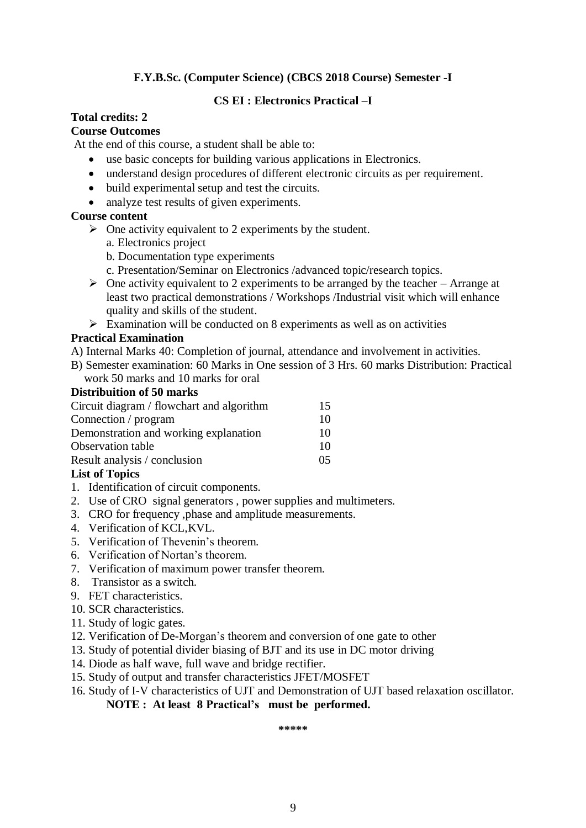### **F.Y.B.Sc. (Computer Science) (CBCS 2018 Course) Semester -I**

### **CS EI : Electronics Practical –I**

### **Total credits: 2**

### **Course Outcomes**

At the end of this course, a student shall be able to:

- use basic concepts for building various applications in Electronics.
- understand design procedures of different electronic circuits as per requirement.
- build experimental setup and test the circuits.
- analyze test results of given experiments.

### **Course content**

- $\triangleright$  One activity equivalent to 2 experiments by the student.
	- a. Electronics project
	- b. Documentation type experiments
	- c. Presentation/Seminar on Electronics /advanced topic/research topics.
- $\triangleright$  One activity equivalent to 2 experiments to be arranged by the teacher Arrange at least two practical demonstrations / Workshops /Industrial visit which will enhance quality and skills of the student.
- $\triangleright$  Examination will be conducted on 8 experiments as well as on activities

### **Practical Examination**

- A) Internal Marks 40: Completion of journal, attendance and involvement in activities.
- B) Semester examination: 60 Marks in One session of 3 Hrs. 60 marks Distribution: Practical work 50 marks and 10 marks for oral

### **Distribuition of 50 marks**

| Circuit diagram / flowchart and algorithm | 15 |
|-------------------------------------------|----|
| Connection / program                      | 10 |
| Demonstration and working explanation     | 10 |
| <b>Observation table</b>                  | 10 |
| Result analysis / conclusion              | 05 |
| <b>TI.</b> AFR 1                          |    |

### **List of Topics**

- 1. Identification of circuit components.
- 2. Use of CRO signal generators , power supplies and multimeters.
- 3. CRO for frequency ,phase and amplitude measurements.
- 4. Verification of KCL,KVL.
- 5. Verification of Thevenin's theorem.
- 6. Verification of Nortan's theorem.
- 7. Verification of maximum power transfer theorem.
- 8. Transistor as a switch.
- 9. FET characteristics.
- 10. SCR characteristics.
- 11. Study of logic gates.
- 12. Verification of De-Morgan's theorem and conversion of one gate to other
- 13. Study of potential divider biasing of BJT and its use in DC motor driving
- 14. Diode as half wave, full wave and bridge rectifier.
- 15. Study of output and transfer characteristics JFET/MOSFET
- 16. Study of I-V characteristics of UJT and Demonstration of UJT based relaxation oscillator.

**NOTE : At least 8 Practical's must be performed.**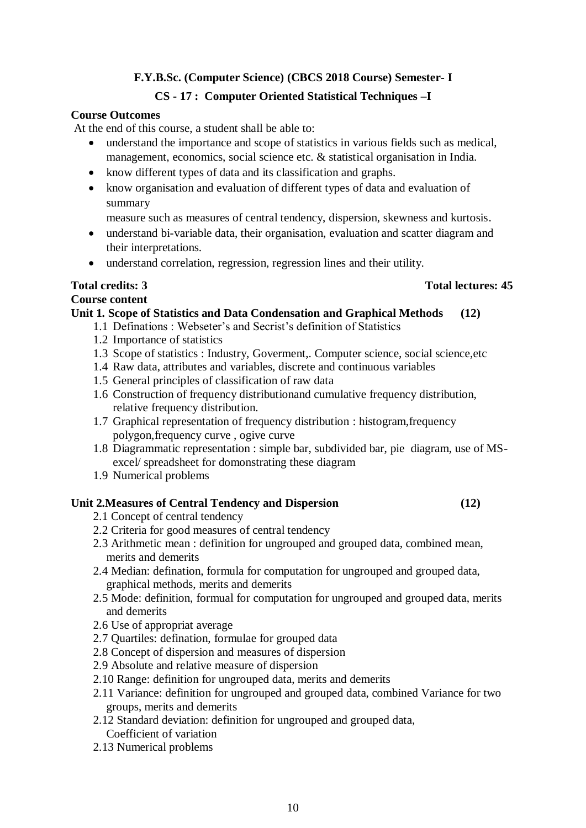### **F.Y.B.Sc. (Computer Science) (CBCS 2018 Course) Semester- I**

### **CS - 17 : Computer Oriented Statistical Techniques –I**

### **Course Outcomes**

At the end of this course, a student shall be able to:

- understand the importance and scope of statistics in various fields such as medical, management, economics, social science etc. & statistical organisation in India.
- know different types of data and its classification and graphs.
- know organisation and evaluation of different types of data and evaluation of summary

measure such as measures of central tendency, dispersion, skewness and kurtosis.

- understand bi-variable data, their organisation, evaluation and scatter diagram and their interpretations.
- understand correlation, regression, regression lines and their utility.

### **Total credits: 3 Total lectures: 45**

### **Course content**

### **Unit 1. Scope of Statistics and Data Condensation and Graphical Methods (12)**

- 1.1 Definations : Webseter's and Secrist's definition of Statistics
- 1.2 Importance of statistics
- 1.3 Scope of statistics : Industry, Goverment,. Computer science, social science,etc
- 1.4 Raw data, attributes and variables, discrete and continuous variables
- 1.5 General principles of classification of raw data
- 1.6 Construction of frequency distributionand cumulative frequency distribution, relative frequency distribution.
- 1.7 Graphical representation of frequency distribution : histogram,frequency polygon,frequency curve , ogive curve
- 1.8 Diagrammatic representation : simple bar, subdivided bar, pie diagram, use of MSexcel/ spreadsheet for domonstrating these diagram
- 1.9 Numerical problems

### **Unit 2.Measures of Central Tendency and Dispersion (12)**

- 2.1 Concept of central tendency
- 2.2 Criteria for good measures of central tendency
- 2.3 Arithmetic mean : definition for ungrouped and grouped data, combined mean, merits and demerits
- 2.4 Median: defination, formula for computation for ungrouped and grouped data, graphical methods, merits and demerits
- 2.5 Mode: definition, formual for computation for ungrouped and grouped data, merits and demerits
- 2.6 Use of appropriat average
- 2.7 Quartiles: defination, formulae for grouped data
- 2.8 Concept of dispersion and measures of dispersion
- 2.9 Absolute and relative measure of dispersion
- 2.10 Range: definition for ungrouped data, merits and demerits
- 2.11 Variance: definition for ungrouped and grouped data, combined Variance for two groups, merits and demerits
- 2.12 Standard deviation: definition for ungrouped and grouped data, Coefficient of variation
- 2.13 Numerical problems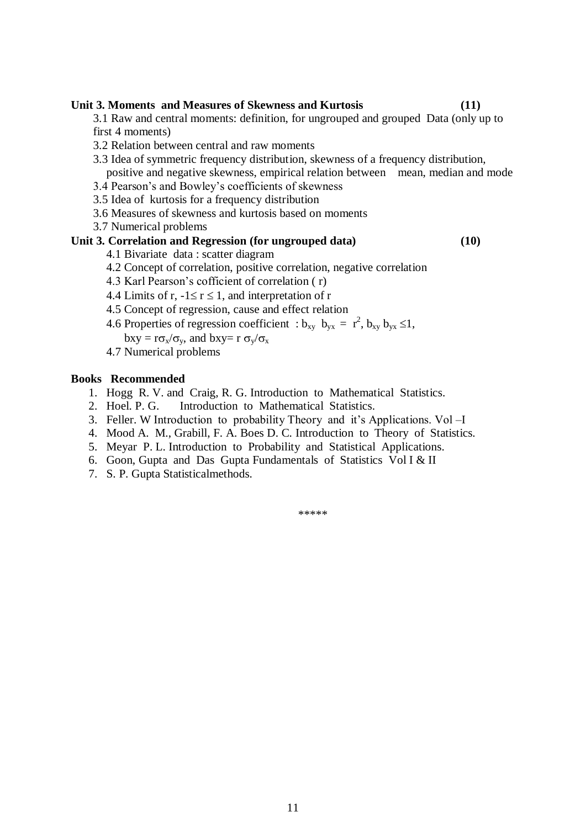**Unit 3. Moments and Measures of Skewness and Kurtosis (11)**  3.1 Raw and central moments: definition, for ungrouped and grouped Data (only up to first 4 moments) 3.2 Relation between central and raw moments 3.3 Idea of symmetric frequency distribution, skewness of a frequency distribution, positive and negative skewness, empirical relation between mean, median and mode 3.4 Pearson's and Bowley's coefficients of skewness 3.5 Idea of kurtosis for a frequency distribution 3.6 Measures of skewness and kurtosis based on moments 3.7 Numerical problems **Unit 3. Correlation and Regression (for ungrouped data) (10)** 4.1 Bivariate data : scatter diagram 4.2 Concept of correlation, positive correlation, negative correlation 4.3 Karl Pearson's cofficient of correlation ( r) 4.4 Limits of r,  $-1 \le r \le 1$ , and interpretation of r

4.5 Concept of regression, cause and effect relation

4.6 Properties of regression coefficient :  $b_{xy}$   $b_{yx} = r^2$ ,  $b_{xy}$   $b_{yx} \le 1$ ,

 $bxy = r\sigma_x/\sigma_y$ , and  $bxy = r\sigma_y/\sigma_x$ 

4.7 Numerical problems

### **Books Recommended**

- 1. Hogg R. V. and Craig, R. G. Introduction to Mathematical Statistics.
- 2. Hoel. P. G. Introduction to Mathematical Statistics.
- 3. Feller. W Introduction to probability Theory and it's Applications. Vol –I
- 4. Mood A. M., Grabill, F. A. Boes D. C. Introduction to Theory of Statistics.
- 5. Meyar P. L. Introduction to Probability and Statistical Applications.
- 6. Goon, Gupta and Das Gupta Fundamentals of Statistics Vol I & II
- 7. S. P. Gupta Statisticalmethods.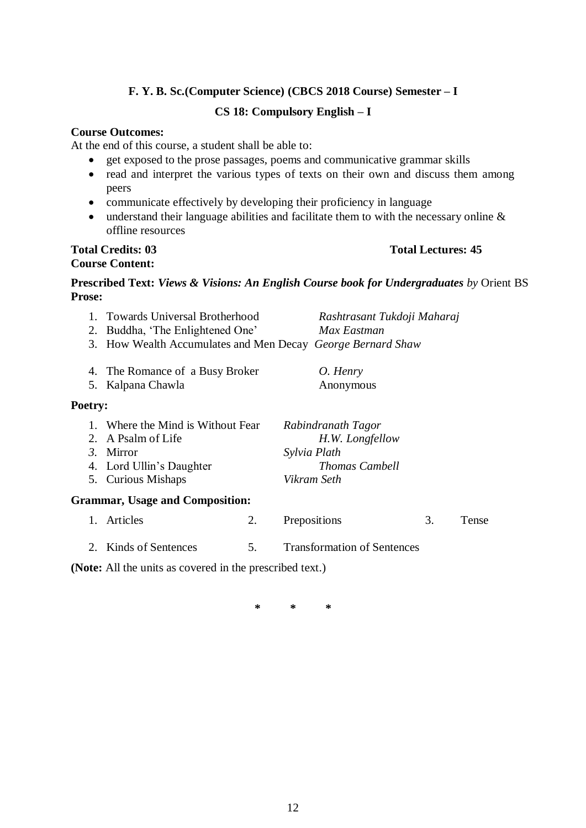### **F. Y. B. Sc.(Computer Science) (CBCS 2018 Course) Semester – I**

### **CS 18: Compulsory English – I**

### **Course Outcomes:**

At the end of this course, a student shall be able to:

- get exposed to the prose passages, poems and communicative grammar skills
- read and interpret the various types of texts on their own and discuss them among peers
- communicate effectively by developing their proficiency in language
- understand their language abilities and facilitate them to with the necessary online  $\&$ offline resources

# **Course Content:**

### **Total Credits: 03 Total Lectures: 45**

### **Prescribed Text:** *Views & Visions: An English Course book for Undergraduates by* Orient BS **Prose:**

| 2.      |                                                             | Rashtrasant Tukdoji Maharaj<br>Max Eastman |                                    | <b>Towards Universal Brotherhood</b><br>Buddha, 'The Enlightened One' |       |  |
|---------|-------------------------------------------------------------|--------------------------------------------|------------------------------------|-----------------------------------------------------------------------|-------|--|
|         | 3. How Wealth Accumulates and Men Decay George Bernard Shaw |                                            |                                    |                                                                       |       |  |
|         | 4. The Romance of a Busy Broker                             |                                            | O. Henry                           |                                                                       |       |  |
| 5.      | Kalpana Chawla                                              |                                            | Anonymous                          |                                                                       |       |  |
| Poetry: |                                                             |                                            |                                    |                                                                       |       |  |
|         | 1. Where the Mind is Without Fear                           |                                            | Rabindranath Tagor                 |                                                                       |       |  |
|         | 2. A Psalm of Life                                          |                                            | H.W. Longfellow                    |                                                                       |       |  |
|         | 3. Mirror                                                   |                                            | Sylvia Plath                       |                                                                       |       |  |
|         | 4. Lord Ullin's Daughter                                    |                                            | <b>Thomas Cambell</b>              |                                                                       |       |  |
|         | 5. Curious Mishaps                                          |                                            | Vikram Seth                        |                                                                       |       |  |
|         | <b>Grammar, Usage and Composition:</b>                      |                                            |                                    |                                                                       |       |  |
|         | 1. Articles                                                 | 2.                                         | Prepositions                       | 3.                                                                    | Tense |  |
|         | 2. Kinds of Sentences                                       | 5.                                         | <b>Transformation of Sentences</b> |                                                                       |       |  |

**(Note:** All the units as covered in the prescribed text.)

**\* \* \***